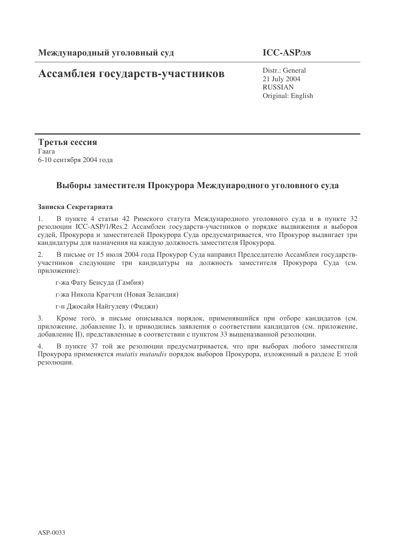# Ассамблея государств-участников

Distr.: General 21 July 2004 RUSSIAN Original: English

Третья сессия  $\Gamma$ aara 6-10 сентября 2004 года

## Выборы заместителя Прокурора Международного уголовного суда

### Записка Секретариата

1. В пункте 4 статьи 42 Римского статута Международного уголовного суда и в пункте 32 резолюции ICC-ASP/1/Res.2 Ассамблеи государств-участников о порядке выдвижения и выборов судей, Прокурора и заместителей Прокурора Суда предусматривается, что Прокурор выдвигает три кандидатуры для назначения на каждую должность заместителя Прокурора.

2. В письме от 15 июля 2004 года Прокурор Суда направил Председателю Ассамблеи государствучастников следующие три кандидатуры на должность заместителя Прокурора Суда (см. приложение):

г-жа Фату Бенсуда (Гамбия)

г-жа Никола Кратчли (Новая Зеландия)

г-н Джосайя Найгулеву (Фиджи)

3. Кроме того, в письме описывался порядок, применявшийся при отборе кандидатов (см. приложение, добавление I), и приводились заявления о соответствии кандидатов (см. приложение, добавление II), представленные в соответствии с пунктом 33 вышеназванной резолюции.

4. В пункте 37 той же резолюции предусматривается, что при выборах любого заместителя Прокурора применяется *mutatis mutandis* порядок выборов Прокурора, изложенный в разделе Е этой резолюции.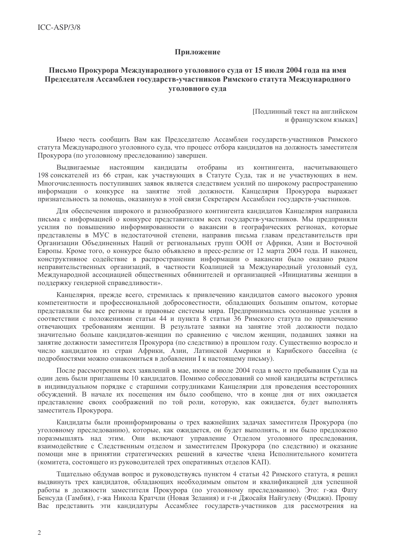#### Приложение

### Письмо Прокурора Международного уголовного суда от 15 июля 2004 года на имя Председателя Ассамблеи государств-участников Римского статута Международного уголовного суда

Подлинный текст на английском и французском языках]

Имею честь сообщить Вам как Председателю Ассамблеи государств-участников Римского статута Международного уголовного суда, что процесс отбора кандидатов на должность заместителя Прокурора (по уголовному преследованию) завершен.

отобраны Выдвигаемые настоящим кандидаты И3 контингента, насчитывающего 198 соискателей из 66 стран, как участвующих в Статуте Суда, так и не участвующих в нем. Многочисленность поступивших заявок является следствием усилий по широкому распространению информации о конкурсе на занятие этой должности. Канцелярия Прокурора выражает признательность за помощь, оказанную в этой связи Секретарем Ассамблеи государств-участников.

Для обеспечения широкого и разнообразного контингента кандидатов Канцелярия направила письма с информацией о конкурсе представителям всех государств-участников. Мы предприняли усилия по повышению информированности о вакансии в географических регионах, которые представлены в МУС в недостаточной степени, направив письма главам представительств при Организации Объединенных Наций от региональных групп ООН от Африки, Азии и Восточной Европы. Кроме того, о конкурсе было объявлено в пресс-релизе от 12 марта 2004 года. И наконец, конструктивное солействие в распространении информации о вакансии было оказано рялом неправительственных организаций, в частности Коалицией за Международный уголовный суд, Международной ассоциацией общественных обвинителей и организацией «Инициативы женщин в поддержку гендерной справедливости».

Канцелярия, прежде всего, стремилась к привлечению кандидатов самого высокого уровня компетентности и профессиональной добросовестности, обладающих большим опытом, которые представляли бы все регионы и правовые системы мира. Предпринимались осознанные усилия в соответствии с положениями статьи 44 и пункта 8 статьи 36 Римского статута по привлечению отвечающих требованиям женщин. В результате заявки на занятие этой должности подало значительно больше кандидатов-женщин по сравнению с числом женщин, подавших заявки на занятие должности заместителя Прокурора (по следствию) в прошлом году. Существенно возросло и число кандидатов из стран Африки, Азии, Латинской Америки и Карибского бассейна (с подробностями можно ознакомиться в добавлении I к настоящему письму).

После рассмотрения всех заявлений в мае, июне и июле 2004 года в место пребывания Суда на один день были приглашены 10 кандидатов. Помимо собеседований со мной кандидаты встретились в индивидуальном порядке с старшими сотрудниками Канцелярии для проведения всесторонних обсуждений. В начале их посещения им было сообщено, что в конце дня от них ожидается представление своих соображений по той роли, которую, как ожидается, будет выполнять заместитель Прокурора.

Кандидаты были проинформированы о трех важнейших задачах заместителя Прокурора (по уголовному преследованию), которые, как ожидается, он будет выполнять, и им было предложено поразмышлять над этим. Они включают управление Отделом уголовного преследования, взаимодействие с Следственным отделом и заместителем Прокурора (по следствию) и оказание помощи мне в принятии стратегических решений в качестве члена Исполнительного комитета (комитета, состоящего из руководителей трех оперативных отделов КАП).

Тщательно обдумав вопрос и руководствуясь пунктом 4 статьи 42 Римского статута, я решил выдвинуть трех кандидатов, обладающих необходимым опытом и квалификацией для успешной работы в должности заместителя Прокурора (по уголовному преследованию). Это: г-жа Фату Бенсуда (Гамбия), г-жа Никола Кратчли (Новая Зелания) и г-н Джосайя Найгулеву (Фиджи). Прошу Вас представить эти кандидатуры Ассамблее государств-участников для рассмотрения на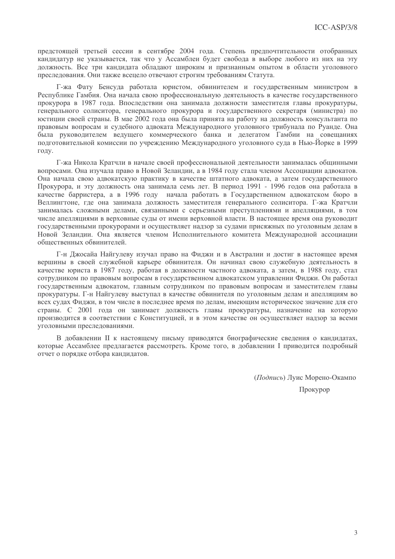предстоящей третьей сессии в сентябре 2004 года. Степень предпочтительности отобранных кандидатур не указывается, так что у Ассамблеи будет свобода в выборе любого из них на эту лолжность. Все три канлилата обладают широким и признанным опытом в области уголовного преследования. Они также всецело отвечают строгим требованиям Статута.

Г-жа Фату Бенсуда работала юристом, обвинителем и государственным министром в Республике Гамбия. Она начала свою профессиональную деятельность в качестве государственного прокурора в 1987 года. Впоследствии она занимала должности заместителя главы прокуратуры, генерального солиситора, генерального прокурора и государственного секретаря (министра) по юстиции своей страны. В мае 2002 года она была принята на работу на должность консультанта по правовым вопросам и судебного адвоката Международного уголовного трибунала по Руанде. Она была руководителем ведущего коммерческого банка и делегатом Гамбии на совещаниях полготовительной комиссии по учреждению Международного уголовного суда в Нью-Йорке в 1999 году.

Г-жа Никола Кратчли в начале своей профессиональной леятельности занималась обшинными вопросами. Она изучала право в Новой Зеландии, а в 1984 году стала членом Ассоциации адвокатов. Она начала свою алвокатскую практику в качестве штатного алвоката, а затем государственного Прокурора. и эту должность она занимала семь лет. В период 1991 - 1996 годов она работала в качестве барристера, а в 1996 году начала работать в Государственном адвокатском бюро в Веллингтоне, где она занимала должность заместителя генерального солиситора. Г-жа Кратчли занималась сложными делами, связанными с серьезными преступлениями и апелляциями, в том числе апелляциями в верховные суды от имени верховной власти. В настоящее время она руководит государственными прокурорами и осуществляет надзор за судами присяжных по уголовным делам в Новой Зеландии. Она является членом Исполнительного комитета Международной ассоциации обшественных обвинителей.

Г-н Джосайа Найгулеву изучал право на Фиджи и в Австралии и достиг в настоящее время вершины в своей служебной карьере обвинителя. Он начинал свою служебную деятельность в качестве юриста в 1987 году, работая в должности частного адвоката, а затем, в 1988 году, стал сотрудником по правовым вопросам в государственном адвокатском управлении Фиджи. Он работал государственным адвокатом, главным сотрудником по правовым вопросам и заместителем главы прокуратуры. Г-н Найгулеву выступал в качестве обвинителя по уголовным делам и апелляциям во всех судах Фиджи, в том числе в последнее время по делам, имеющим историческое значение для его страны. С 2001 года он занимает должность главы прокуратуры, назначение на которую производится в соответствии с Конституцией, и в этом качестве он осуществляет надзор за всеми уголовными преследованиями.

В добавлении II к настоящему письму приводятся биографические сведения о кандидатах, которые Ассамблее предлагается рассмотреть. Кроме того, в добавлении I приводится подробный отчет о порядке отбора кандидатов.

> (Подпись) Луис Морено-Окампо Прокурор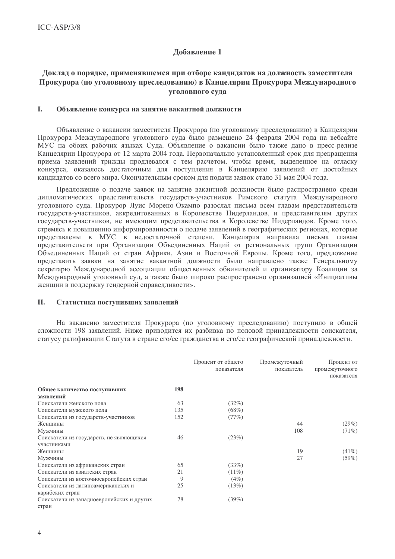### Добавление 1

### Доклад о порядке, применявшемся при отборе кандидатов на должность заместителя Прокурора (по уголовному преследованию) в Канцелярии Прокурора Международного **УГОЛОВНОГО СУЛА**

#### L. Объявление конкурса на занятие вакантной должности

Объявление о вакансии заместителя Прокурора (по уголовному преследованию) в Канцелярии Прокурора Международного уголовного суда было размещено 24 февраля 2004 года на вебсайте МУС на обоих рабочих языках Суда. Объявление о вакансии было также дано в пресс-релизе Канцелярии Прокурора от 12 марта 2004 года. Первоначально установленный срок для прекращения приема заявлений трижды продлевался с тем расчетом, чтобы время, выделенное на огласку конкурса, оказалось достаточным для поступления в Канцелярию заявлений от достойных кандидатов со всего мира. Окончательным сроком для подачи заявок стало 31 мая 2004 года.

Предложение о подаче заявок на занятие вакантной должности было распространено среди дипломатических представительств государств-участников Римского статута Международного уголовного суда. Прокурор Луис Морено-Окампо разослал письма всем главам представительств государств-участников, аккредитованных в Королевстве Нидерландов, и представителям других государств-участников, не имеющим представительства в Королевстве Нидерландов. Кроме того, стремясь к повышению информированности о подаче заявлений в географических регионах, которые представлены в МУС в недостаточной степени, Канцелярия направила письма главам представительств при Организации Объединенных Наций от региональных групп Организации Объединенных Наций от стран Африки, Азии и Восточной Европы. Кроме того, предложение представить заявки на занятие вакантной должности было направлено также Генеральному секретарю Международной ассоциации общественных обвинителей и организатору Коалиции за Международный уголовный суд, а также было широко распространено организацией «Инициативы женщин в поддержку гендерной справедливости».

#### **II.** Статистика поступивших заявлений

На вакансию заместителя Прокурора (по уголовному преследованию) поступило в общей сложности 198 заявлений. Ниже приводится их разбивка по половой принадлежности соискателя, статусу ратификации Статута в стране его/ее гражданства и его/ее географической принадлежности.

|                                           |     | Процент от общего<br>показателя | Промежуточный<br>показатель | Процент от<br>промежуточного<br>показателя |
|-------------------------------------------|-----|---------------------------------|-----------------------------|--------------------------------------------|
| Общее количество поступивших              | 198 |                                 |                             |                                            |
| заявлений                                 |     |                                 |                             |                                            |
| Соискатели женского пола                  | 63  | (32%)                           |                             |                                            |
| Соискатели мужского пола                  | 135 | $(68\%)$                        |                             |                                            |
| Соискатели из государств-участников       | 152 | (77%)                           |                             |                                            |
| Женщины                                   |     |                                 | 44                          | (29%)                                      |
| Мужчины                                   |     |                                 | 108                         | $(71\%)$                                   |
| Соискатели из государств, не являющихся   | 46  | (23%)                           |                             |                                            |
| участниками                               |     |                                 |                             |                                            |
| Женщины                                   |     |                                 | 19                          | $(41\%)$                                   |
| Мужчины                                   |     |                                 | 27                          | $(59\%)$                                   |
| Соискатели из африканских стран           | 65  | (33%)                           |                             |                                            |
| Соискатели из азиатских стран             | 21  | $(11\%)$                        |                             |                                            |
| Соискатели из восточноевропейских стран   | 9   | $(4\%)$                         |                             |                                            |
| Соискатели из латиноамериканских и        | 25  | (13%)                           |                             |                                            |
| карибских стран                           |     |                                 |                             |                                            |
| Соискатели из западноевропейских и других | 78  | $(39\%)$                        |                             |                                            |
| стран                                     |     |                                 |                             |                                            |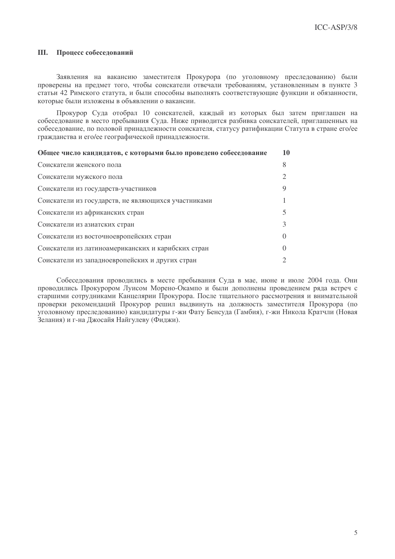#### Процесс собеседований Ш.

Заявления на вакансию заместителя Прокурора (по уголовному преследованию) были проверены на предмет того, чтобы соискатели отвечали требованиям, установленным в пункте 3 статьи 42 Римского статута, и были способны выполнять соответствующие функции и обязанности. которые были изложены в объявлении о вакансии.

Прокурор Суда отобрал 10 соискателей, каждый из которых был затем приглашен на собеселование в место пребывания Сула. Ниже приводится разбивка соискателей, приглашенных на собеселование, по половой принадлежности соискателя, статусу ратификации Статута в стране его/ее гражданства и его/ее географической принадлежности.

| Общее число кандидатов, с которыми было проведено собеседование | 10       |
|-----------------------------------------------------------------|----------|
| Соискатели женского пола                                        | 8        |
| Соискатели мужского пола                                        |          |
| Соискатели из государств-участников                             | 9        |
| Соискатели из государств, не являющихся участниками             |          |
| Соискатели из африканских стран                                 |          |
| Соискатели из азиатских стран                                   | 3        |
| Соискатели из восточноевропейских стран                         | $\Omega$ |
| Соискатели из латиноамериканских и карибских стран              |          |
| Соискатели из западноевропейских и других стран                 |          |

Собеседования проводились в месте пребывания Суда в мае, июне и июле 2004 года. Они проводились Прокурором Луисом Морено-Окампо и были дополнены проведением ряда встреч с старшими сотрудниками Канцелярии Прокурора. После тщательного рассмотрения и внимательной проверки рекомендаций Прокурор решил выдвинуть на должность заместителя Прокурора (по уголовному преследованию) кандидатуры г-жи Фату Бенсуда (Гамбия), г-жи Никола Кратчли (Новая Зелания) и г-на Джосайя Найгулеву (Фиджи).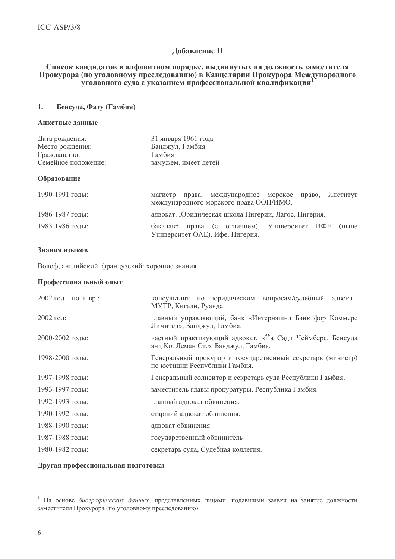#### **Добавление II**

#### Список кандидатов в алфавитном порядке, выдвинутых на должность заместителя Прокурора (по уголовному преследованию) в Канцелярии Прокурора Международного уголовного суда с указанием профессиональной квалификации

#### $\mathbf{1}$ . Бенсуда, Фату (Гамбия)

#### Анкетные ланные

| Дата рождения:      | 31 января 1961 года  |
|---------------------|----------------------|
| Место рождения:     | Банджул, Гамбия      |
| Гражданство:        | Гамбия               |
| Семейное положение: | замужем, имеет детей |

#### Образование

| 1990-1991 годы: | магистр  |  | права, международное морское право, Институт<br>международного морского права ООН/ИМО. |  |       |
|-----------------|----------|--|----------------------------------------------------------------------------------------|--|-------|
| 1986-1987 годы: |          |  | адвокат, Юридическая школа Нигерии, Лагос, Нигерия.                                    |  |       |
| 1983-1986 годы: | бакалавр |  | права (с отличием), Университет ИФЕ<br>Университет ОАЕ), Ифе, Нигерия.                 |  | (ныне |

#### Знания языков

Волоф, английский, французский: хорошие знания.

#### Профессиональный опыт

| 2002 год – по н. вр.: | консультант по юридическим вопросам/судебный адвокат,<br>МУТР, Кигали, Руанда.                   |
|-----------------------|--------------------------------------------------------------------------------------------------|
| $2002$ год:           | главный управляющий, банк «Интернэшнл Бэнк фор Коммерс<br>Лимитед», Банджул, Гамбия.             |
| 2000-2002 годы:       | частный практикующий адвокат, «Йа Сади Чеймберс, Бенсуда<br>энд Ко. Леман Ст.», Банджул, Гамбия. |
| 1998-2000 годы:       | Генеральный прокурор и государственный секретарь (министр)<br>по юстиции Республики Гамбия.      |
| 1997-1998 годы:       | Генеральный солиситор и секретарь суда Республики Гамбия.                                        |
| 1993-1997 годы:       | заместитель главы прокуратуры, Республика Гамбия.                                                |
| 1992-1993 годы:       | главный адвокат обвинения.                                                                       |
| 1990-1992 годы:       | старший адвокат обвинения.                                                                       |
| 1988-1990 годы:       | адвокат обвинения.                                                                               |
| 1987-1988 годы:       | государственный обвинитель                                                                       |
| 1980-1982 годы:       | секретарь суда, Судебная коллегия.                                                               |

#### Другая профессиональная подготовка

<sup>&</sup>lt;sup>1</sup> На основе биографических данных, представленных лицами, подавшими заявки на занятие должности заместителя Прокурора (по уголовному преследованию).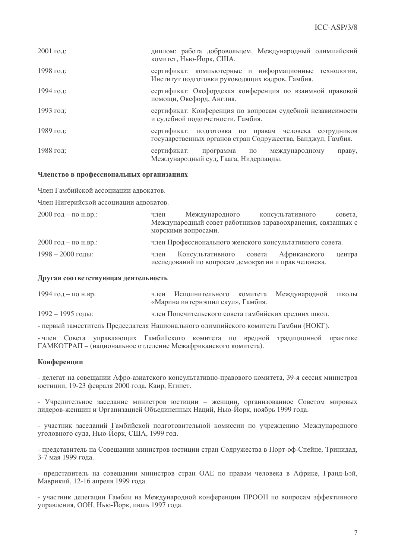| $2001$ год: | диплом: работа добровольцем, Международный олимпийский<br>комитет, Нью-Йорк, США.                                    |
|-------------|----------------------------------------------------------------------------------------------------------------------|
| 1998 год:   | сертификат: компьютерные и информационные технологии,<br>Институт подготовки руководящих кадров, Гамбия.             |
| 1994 год:   | сертификат: Оксфордская конференция по взаимной правовой<br>помощи, Оксфорд, Англия.                                 |
| 1993 год:   | сертификат: Конференция по вопросам судебной независимости<br>и судебной подотчетности, Гамбия.                      |
| 1989 год:   | сертификат: подготовка по правам человека сотрудников<br>государственных органов стран Содружества, Банджул, Гамбия. |
| 1988 год:   | сертификат:<br>программа по международному<br>праву,<br>Международный суд, Гаага, Нидерланды.                        |

#### Членство в профессиональных организациях

Член Гамбийской ассоциации алвокатов.

Член Нигерийской ассоциации алвокатов.

| 2000 год – по н.вр.: | член | Международного                                                                               | консультативного | совета. |
|----------------------|------|----------------------------------------------------------------------------------------------|------------------|---------|
|                      |      | Международный совет работников здравоохранения, связанных с<br>морскими вопросами.           |                  |         |
| 2000 год – по н.вр.: |      | член Профессионального женского консультативного совета.                                     |                  |         |
| $1998 - 2000$ годы:  | член | Консультативного совета Африканского<br>исследований по вопросам демократии и прав человека. |                  | центра  |

#### Другая соответствующая деятельность

| 1994 год – по н.вр. | член Исполнительного комитета Международной школы    |  |  |
|---------------------|------------------------------------------------------|--|--|
|                     | «Марина интернэшнл скул», Гамбия.                    |  |  |
| 1992 – 1995 годы:   | член Попечительского совета гамбийских средних школ. |  |  |

- первый заместитель Председателя Национального олимпийского комитета Гамбии (НОКГ).

- член Совета управляющих Гамбийского комитета по вредной традиционной практике ГАМКОТРАП - (национальное отделение Межафриканского комитета).

#### Конференции

- делегат на совещании Афро-азиатского консультативно-правового комитета, 39-я сессия министров юстиции, 19-23 февраля 2000 года, Каир, Египет.

- Учредительное заседание министров юстиции - женщин, организованное Советом мировых лидеров-женщин и Организацией Объединенных Наций, Нью-Йорк, ноябрь 1999 года.

- участник заседаний Гамбийской подготовительной комиссии по учреждению Международного уголовного суда, Нью-Йорк, США, 1999 год.

- представитель на Совещании министров юстиции стран Содружества в Порт-оф-Спейне, Тринидад, 3-7 мая 1999 года.

- представитель на совещании министров стран ОАЕ по правам человека в Африке, Гранд-Бэй, Маврикий, 12-16 апреля 1999 года.

- участник делегации Гамбии на Международной конференции ПРООН по вопросам эффективного управления, ООН, Нью-Йорк, июль 1997 года.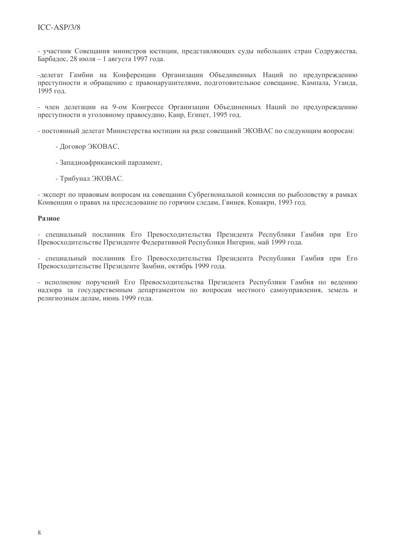- участник Совещания министров юстиции, представляющих суды небольших стран Содружества, Барбадос, 28 июля - 1 августа 1997 года.

-делегат Гамбии на Конференции Организации Объединенных Наций по предупреждению преступности и обращению с правонарушителями, подготовительное совещание, Кампала, Уганда, 1995 год.

- член делегации на 9-ом Конгрессе Организации Объединенных Наций по предупреждению преступности и уголовному правосудию, Каир, Египет, 1995 год.

- постоянный лелегат Министерства юстиции на ряде совешаний ЭКОВАС по следующим вопросам:

- Договор ЭКОВАС,
- Западноафриканский парламент,
- Трибунал ЭКОВАС.

- эксперт по правовым вопросам на совешании Субрегиональной комиссии по рыболовству в рамках Конвенции о правах на преследование по горячим следам, Гвинея, Конакри, 1993 год.

#### Разное

- специальный посланник Его Превосходительства Президента Республики Гамбия при Его Превосходительстве Президенте Федеративной Республики Нигерии, май 1999 года.

- специальный посланник Его Превосходительства Президента Республики Гамбия при Его Превосходительстве Президенте Замбии, октябрь 1999 года.

- исполнение поручений Его Превосходительства Президента Республики Гамбия по ведению надзора за государственным департаментом по вопросам местного самоуправления, земель и религиозным делам, июнь 1999 года.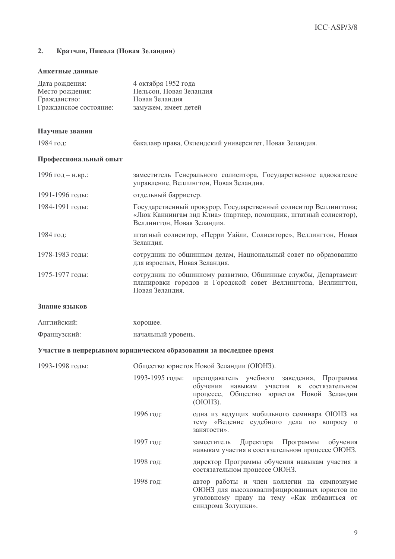#### $2.$ Кратчли, Никола (Новая Зеландия)

#### Анкетные данные

| Дата рождения:         | 4 октября 1952 года     |
|------------------------|-------------------------|
| Место рождения:        | Нельсон, Новая Зеландия |
| Гражданство:           | Новая Зеланлия          |
| Гражданское состояние: | замужем, имеет детей    |

#### Научные звания

| 1984 год: |  |  |
|-----------|--|--|
|-----------|--|--|

бакалавр права, Оклендский университет, Новая Зеландия.

#### Профессиональный опыт

| 1996 год - н.вр.: | заместитель Генерального солиситора, Государственное адвокатское<br>управление, Веллингтон, Новая Зеландия.                                                         |
|-------------------|---------------------------------------------------------------------------------------------------------------------------------------------------------------------|
| 1991-1996 годы:   | отдельный барристер.                                                                                                                                                |
| 1984-1991 годы:   | Государственный прокурор, Государственный солиситор Веллингтона;<br>«Люк Каннингам энд Клиа» (партнер, помощник, штатный солиситор),<br>Веллингтон, Новая Зеландия. |
| 1984 год:         | штатный солиситор, «Перри Уайли, Солиситорс», Веллингтон, Новая<br>Зеландия.                                                                                        |
| 1978-1983 годы:   | сотрудник по общинным делам, Национальный совет по образованию<br>для взрослых, Новая Зеландия.                                                                     |
| 1975-1977 годы:   | сотрудник по общинному развитию, Общинные службы, Департамент<br>планировки городов и Городской совет Веллингтона, Веллингтон,<br>Новая Зеландия.                   |

### Знание языков

| Английский:  | хорошее.           |
|--------------|--------------------|
| Французский: | начальный уровень. |

#### Участие в непрерывном юридическом образовании за последнее время

| 1993-1998 годы: |                 | Общество юристов Новой Зеландии (ОЮНЗ).                                                                                                                        |  |  |
|-----------------|-----------------|----------------------------------------------------------------------------------------------------------------------------------------------------------------|--|--|
|                 | 1993-1995 годы: | преподаватель учебного заведения, Программа<br>обучения навыкам участия в состязательном<br>процессе, Общество юристов Новой Зеландии<br>(OłOH3).              |  |  |
|                 | 1996 год:       | одна из ведущих мобильного семинара ОЮНЗ на<br>тему «Ведение судебного дела по вопросу о<br>занятости».                                                        |  |  |
|                 | 1997 год:       | заместитель Директора Программы обучения<br>навыкам участия в состязательном процессе ОЮНЗ.                                                                    |  |  |
|                 | 1998 год:       | директор Программы обучения навыкам участия в<br>состязательном процессе ОЮНЗ.                                                                                 |  |  |
|                 | 1998 год:       | автор работы и член коллегии на симпозиуме<br>ОЮНЗ для высококвалифицированных юристов по<br>уголовному праву на тему «Как избавиться от<br>синдрома Золушки». |  |  |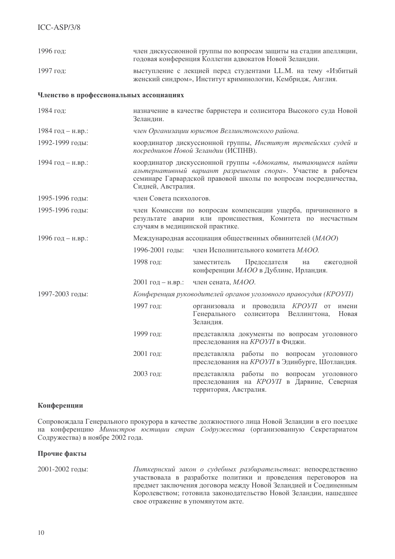| 1996 год:                               | член дискуссионной группы по вопросам защиты на стадии апелляции,<br>годовая конференция Коллегии адвокатов Новой Зеландии.                                                                                          |                                                                                                                          |  |  |  |  |
|-----------------------------------------|----------------------------------------------------------------------------------------------------------------------------------------------------------------------------------------------------------------------|--------------------------------------------------------------------------------------------------------------------------|--|--|--|--|
| 1997 год:                               | выступление с лекцией перед студентами LL.M. на тему «Избитый<br>женский синдром», Институт криминологии, Кембридж, Англия.                                                                                          |                                                                                                                          |  |  |  |  |
| Членство в профессиональных ассоциациях |                                                                                                                                                                                                                      |                                                                                                                          |  |  |  |  |
| 1984 год:                               | назначение в качестве барристера и солиситора Высокого суда Новой<br>Зеландии.                                                                                                                                       |                                                                                                                          |  |  |  |  |
| 1984 год – н.вр.:                       | член Организации юристов Веллингтонского района.                                                                                                                                                                     |                                                                                                                          |  |  |  |  |
| 1992-1999 годы:                         | координатор дискуссионной группы, Институт третейских судей и<br>посредников Новой Зеландии (ИСПНВ).                                                                                                                 |                                                                                                                          |  |  |  |  |
| 1994 год - н.вр.:                       | координатор дискуссионной группы «Адвокаты, пытающиеся найти<br>альтернативный вариант разрешения спора». Участие в рабочем<br>семинаре Гарвардской правовой школы по вопросам посредничества,<br>Сидней, Австралия. |                                                                                                                          |  |  |  |  |
| 1995-1996 годы:                         | член Совета психологов.                                                                                                                                                                                              |                                                                                                                          |  |  |  |  |
| 1995-1996 годы:                         | член Комиссии по вопросам компенсации ущерба, причиненного в<br>результате аварии или происшествия, Комитета по несчастным<br>случаям в медицинской практике.                                                        |                                                                                                                          |  |  |  |  |
| 1996 год - н.вр.:                       | Международная ассоциация общественных обвинителей (МАОО)                                                                                                                                                             |                                                                                                                          |  |  |  |  |
|                                         | 1996-2001 годы:                                                                                                                                                                                                      | член Исполнительного комитета МАОО.                                                                                      |  |  |  |  |
|                                         | 1998 год:                                                                                                                                                                                                            | Председателя<br>ежегодной<br>заместитель<br>на<br>конференции МАОО в Дублине, Ирландия.                                  |  |  |  |  |
|                                         | $2001$ год – н.вр.:                                                                                                                                                                                                  | член сената, МАОО.                                                                                                       |  |  |  |  |
| 1997-2003 годы:                         | Конференция руководителей органов уголовного правосудия (КРОУП)                                                                                                                                                      |                                                                                                                          |  |  |  |  |
|                                         | 1997 год:                                                                                                                                                                                                            | организовала и проводила КРОУП<br><b>OT</b><br>имени<br>Генерального<br>солиситора<br>Веллингтона,<br>Новая<br>Зеландия. |  |  |  |  |
|                                         | 1999 год:                                                                                                                                                                                                            | представляла документы по вопросам уголовного<br>преследования на КРОУП в Фиджи.                                         |  |  |  |  |
|                                         | 2001 год:                                                                                                                                                                                                            | представляла работы по вопросам уголовного<br>преследования на КРОУП в Эдинбурге, Шотландия.                             |  |  |  |  |
|                                         | 2003 год:                                                                                                                                                                                                            | представляла работы по вопросам уголовного<br>преследования на КРОУП в Дарвине, Северная<br>территория, Австралия.       |  |  |  |  |

#### Конференции

Сопровождала Генерального прокурора в качестве должностного лица Новой Зеландии в его поездке на конференцию Министров юстиции стран Содружества (организованную Секретариатом Содружества) в ноябре 2002 года.

#### Прочие факты

2001-2002 голы:

Питкернский закон о судебных разбирательствах: непосредственно участвовала в разработке политики и проведения переговоров на предмет заключения договора между Новой Зеландией и Соединенным Королевством; готовила законодательство Новой Зеландии, нашедшее свое отражение в упомянутом акте.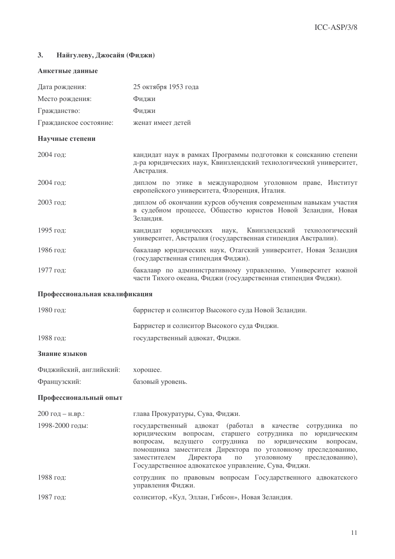#### Найгулеву, Джосайя (Фиджи)  $3.$

#### Анкетные данные

| Дата рождения:                | 25 октября 1953 года                                                                                                                                                                                                                                                                                                                                                                                                    |  |  |  |  |
|-------------------------------|-------------------------------------------------------------------------------------------------------------------------------------------------------------------------------------------------------------------------------------------------------------------------------------------------------------------------------------------------------------------------------------------------------------------------|--|--|--|--|
| Место рождения:               | Фиджи                                                                                                                                                                                                                                                                                                                                                                                                                   |  |  |  |  |
| Гражданство:                  | Фиджи                                                                                                                                                                                                                                                                                                                                                                                                                   |  |  |  |  |
| Гражданское состояние:        | женат имеет детей                                                                                                                                                                                                                                                                                                                                                                                                       |  |  |  |  |
| Научные степени               |                                                                                                                                                                                                                                                                                                                                                                                                                         |  |  |  |  |
| 2004 год:                     | кандидат наук в рамках Программы подготовки к соисканию степени<br>д-ра юридических наук, Квинзлендский технологический университет,<br>Австралия.                                                                                                                                                                                                                                                                      |  |  |  |  |
| 2004 год:                     | диплом по этике в международном уголовном праве, Институт<br>европейского университета, Флоренция, Италия.                                                                                                                                                                                                                                                                                                              |  |  |  |  |
| 2003 год:                     | диплом об окончании курсов обучения современным навыкам участия<br>в судебном процессе, Общество юристов Новой Зеландии, Новая<br>Зеландия.                                                                                                                                                                                                                                                                             |  |  |  |  |
| 1995 год:                     | Квинзлендский<br>юридических<br>кандидат<br>наук,<br>технологический<br>университет, Австралия (государственная стипендия Австралии).                                                                                                                                                                                                                                                                                   |  |  |  |  |
| 1986 год:                     | бакалавр юридических наук, Отагский университет, Новая Зеландия<br>(государственная стипендия Фиджи).                                                                                                                                                                                                                                                                                                                   |  |  |  |  |
| 1977 год:                     | бакалавр по административному управлению, Университет южной<br>части Тихого океана, Фиджи (государственная стипендия Фиджи).                                                                                                                                                                                                                                                                                            |  |  |  |  |
| Профессиональная квалификация |                                                                                                                                                                                                                                                                                                                                                                                                                         |  |  |  |  |
| 1980 год:                     | барристер и солиситор Высокого суда Новой Зеландии.                                                                                                                                                                                                                                                                                                                                                                     |  |  |  |  |
|                               | Барристер и солиситор Высокого суда Фиджи.                                                                                                                                                                                                                                                                                                                                                                              |  |  |  |  |
| 1988 год:                     | государственный адвокат, Фиджи.                                                                                                                                                                                                                                                                                                                                                                                         |  |  |  |  |
| Знание языков                 |                                                                                                                                                                                                                                                                                                                                                                                                                         |  |  |  |  |
| Фиджийский, английский:       | хорошее.                                                                                                                                                                                                                                                                                                                                                                                                                |  |  |  |  |
| Французский:                  | базовый уровень.                                                                                                                                                                                                                                                                                                                                                                                                        |  |  |  |  |
| Профессиональный опыт         |                                                                                                                                                                                                                                                                                                                                                                                                                         |  |  |  |  |
| 200 год - н.вр.:              | глава Прокуратуры, Сува, Фиджи.                                                                                                                                                                                                                                                                                                                                                                                         |  |  |  |  |
| 1998-2000 годы:               | государственный адвокат (работал в<br>качестве сотрудника<br>$\Pi$ <sup>O</sup><br>юридическим вопросам, старшего сотрудника по юридическим<br>вопросам,<br>ведущего сотрудника<br>юридическим<br>$\Pi 0$<br>вопросам,<br>помощника заместителя Директора по уголовному преследованию,<br>Директора<br>уголовному<br>заместителем<br>$\Pi 0$<br>преследованию),<br>Государственное адвокатское управление, Сува, Фиджи. |  |  |  |  |
| 1988 год:                     | сотрудник по правовым вопросам Государственного адвокатского<br>управления Фиджи.                                                                                                                                                                                                                                                                                                                                       |  |  |  |  |
| 1987 год:                     | солиситор, «Кул, Эллан, Гибсон», Новая Зеландия.                                                                                                                                                                                                                                                                                                                                                                        |  |  |  |  |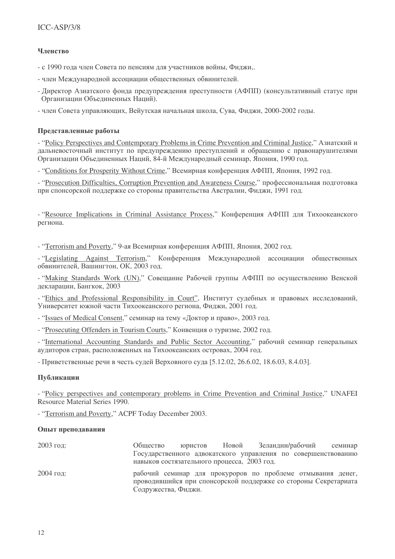### Членство

- с 1990 года член Совета по пенсиям для участников войны, Фиджи,.

- член Международной ассоциации общественных обвинителей.
- Директор Азиатского фонда предупреждения преступности (АФПП) (консультативный статус при Организации Объединенных Наций).
- член Совета управляющих, Вейутская начальная школа, Сува, Фиджи, 2000-2002 годы.

#### Представленные работы

- "Policy Perspectives and Contemporary Problems in Crime Prevention and Criminal Justice," Азиатский и дальневосточный институт по предупреждению преступлений и обращению с правонарушителями Организации Объединенных Наций, 84-й Международный семинар, Япония, 1990 год.

- "Conditions for Prosperity Without Crime," Всемирная конференция АФПП, Япония, 1992 год.

- "Prosecution Difficulties, Corruption Prevention and Awareness Course," профессиональная подготовка при спонсорской поддержке со стороны правительства Австралии, Фиджи, 1991 год.

- "Resource Implications in Criminal Assistance Process," Конференция АФПП для Тихоокеанского региона.

- "Terrorism and Poverty," 9-ая Всемирная конференция АФПП, Япония, 2002 год.

- "Legislating Against Terrorism," Конференция Международной ассоциации общественных обвинителей, Вашингтон, ОК, 2003 год.

- "Making Standards Work (UN)," Совещание Рабочей группы АФПП по осуществлению Венской декларации, Бангкок, 2003

- "Ethics and Professional Responsibility in Court", Институт судебных и правовых исследований, Университет южной части Тихоокеанского региона, Фиджи, 2001 год.

- "Issues of Medical Consent," семинар на тему «Доктор и право», 2003 год.

- "Prosecuting Offenders in Tourism Courts," Конвенция о туризме, 2002 год.

- "International Accounting Standards and Public Sector Accounting," рабочий семинар генеральных аудиторов стран, расположенных на Тихоокеанских островах, 2004 год.

- Приветственные речи в честь судей Верховного суда [5.12.02, 26.6.02, 18.6.03, 8.4.03].

#### Публикации

- "Policy perspectives and contemporary problems in Crime Prevention and Criminal Justice," UNAFEI Resource Material Series 1990.

- "Terrorism and Poverty," ACPF Today December 2003.

#### Опыт преподавания

| $2003$ год: | Общество                                                                                                                                              | юристов Новой | Зеландии/рабочий | семинар |
|-------------|-------------------------------------------------------------------------------------------------------------------------------------------------------|---------------|------------------|---------|
|             | Государственного адвокатского управления по совершенствованию<br>навыков состязательного процесса, 2003 год.                                          |               |                  |         |
| $2004$ год: | рабочий семинар для прокуроров по проблеме отмывания денег,<br>проводившийся при спонсорской поддержке со стороны Секретариата<br>Содружества, Фиджи. |               |                  |         |